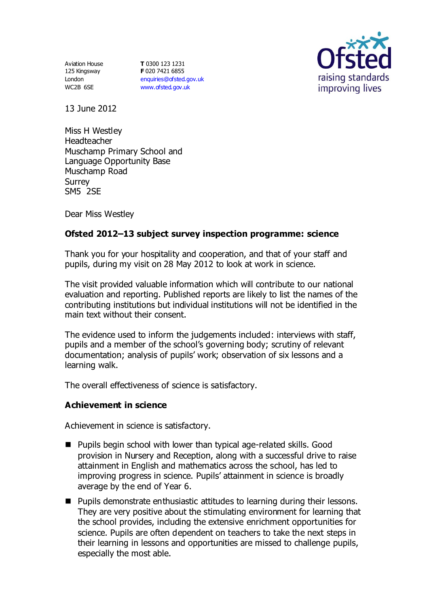Aviation House 125 Kingsway London WC2B 6SE

**T** 0300 123 1231 **F** 020 7421 6855 [enquiries@ofsted.gov.uk](mailto:enquiries@ofsted.gov.uk) [www.ofsted.gov.uk](http://www.ofsted.gov.uk/)



13 June 2012

Miss H Westley Headteacher Muschamp Primary School and Language Opportunity Base Muschamp Road Surrey SM5 2SE

Dear Miss Westley

# **Ofsted 2012–13 subject survey inspection programme: science**

Thank you for your hospitality and cooperation, and that of your staff and pupils, during my visit on 28 May 2012 to look at work in science.

The visit provided valuable information which will contribute to our national evaluation and reporting. Published reports are likely to list the names of the contributing institutions but individual institutions will not be identified in the main text without their consent.

The evidence used to inform the judgements included: interviews with staff, pupils and a member of the school's governing body; scrutiny of relevant documentation; analysis of pupils' work; observation of six lessons and a learning walk.

The overall effectiveness of science is satisfactory.

# **Achievement in science**

Achievement in science is satisfactory.

- **Pupils begin school with lower than typical age-related skills. Good** provision in Nursery and Reception, along with a successful drive to raise attainment in English and mathematics across the school, has led to improving progress in science. Pupils' attainment in science is broadly average by the end of Year 6.
- **Pupils demonstrate enthusiastic attitudes to learning during their lessons.** They are very positive about the stimulating environment for learning that the school provides, including the extensive enrichment opportunities for science. Pupils are often dependent on teachers to take the next steps in their learning in lessons and opportunities are missed to challenge pupils, especially the most able.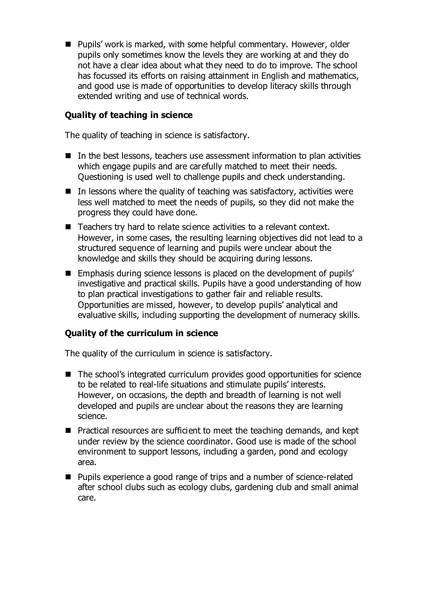■ Pupils' work is marked, with some helpful commentary. However, older pupils only sometimes know the levels they are working at and they do not have a clear idea about what they need to do to improve. The school has focussed its efforts on raising attainment in English and mathematics, and good use is made of opportunities to develop literacy skills through extended writing and use of technical words.

## **Quality of teaching in science**

The quality of teaching in science is satisfactory.

- In the best lessons, teachers use assessment information to plan activities which engage pupils and are carefully matched to meet their needs. Questioning is used well to challenge pupils and check understanding.
- $\blacksquare$  In lessons where the quality of teaching was satisfactory, activities were less well matched to meet the needs of pupils, so they did not make the progress they could have done.
- Teachers try hard to relate science activities to a relevant context. However, in some cases, the resulting learning objectives did not lead to a structured sequence of learning and pupils were unclear about the knowledge and skills they should be acquiring during lessons.
- Emphasis during science lessons is placed on the development of pupils' investigative and practical skills. Pupils have a good understanding of how to plan practical investigations to gather fair and reliable results. Opportunities are missed, however, to develop pupils' analytical and evaluative skills, including supporting the development of numeracy skills.

#### **Quality of the curriculum in science**

The quality of the curriculum in science is satisfactory.

- The school's integrated curriculum provides good opportunities for science to be related to real-life situations and stimulate pupils' interests. However, on occasions, the depth and breadth of learning is not well developed and pupils are unclear about the reasons they are learning science.
- **Practical resources are sufficient to meet the teaching demands, and kept** under review by the science coordinator. Good use is made of the school environment to support lessons, including a garden, pond and ecology area.
- Pupils experience a good range of trips and a number of science-related after school clubs such as ecology clubs, gardening club and small animal care.